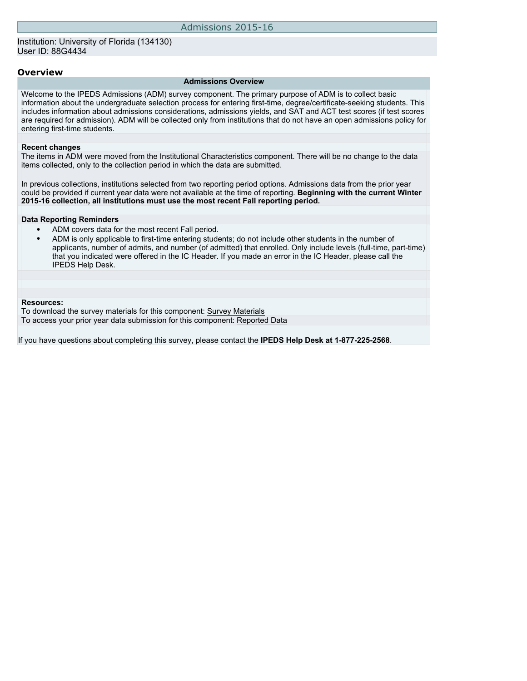### **Overview**

### **Admissions Overview**

Welcome to the IPEDS Admissions (ADM) survey component. The primary purpose of ADM is to collect basic information about the undergraduate selection process for entering first-time, degree/certificate-seeking students. This includes information about admissions considerations, admissions yields, and SAT and ACT test scores (if test scores are required for admission). ADM will be collected only from institutions that do not have an open admissions policy for entering first-time students.

### **Recent changes**

The items in ADM were moved from the Institutional Characteristics component. There will be no change to the data items collected, only to the collection period in which the data are submitted.

In previous collections, institutions selected from two reporting period options. Admissions data from the prior year could be provided if current year data were not available at the time of reporting. **Beginning with the current Winter 2015-16 collection, all institutions must use the most recent Fall reporting period.**

### **Data Reporting Reminders**

- ADM covers data for the most recent Fall period.
- ADM is only applicable to first-time entering students; do not include other students in the number of applicants, number of admits, and number (of admitted) that enrolled. Only include levels (full-time, part-time) that you indicated were offered in the IC Header. If you made an error in the IC Header, please call the IPEDS Help Desk.

### **Resources:**

To download the survey materials for this component: [Survey Materials](https://surveys.nces.ed.gov/ipeds/VisIndex.aspx) To access your prior year data submission for this component: [Reported Data](http://192.168.102.89/IPEDS/PriorYearDataRedirect.aspx?survey_id=14)

If you have questions about completing this survey, please contact the **IPEDS Help Desk at 1-877-225-2568**.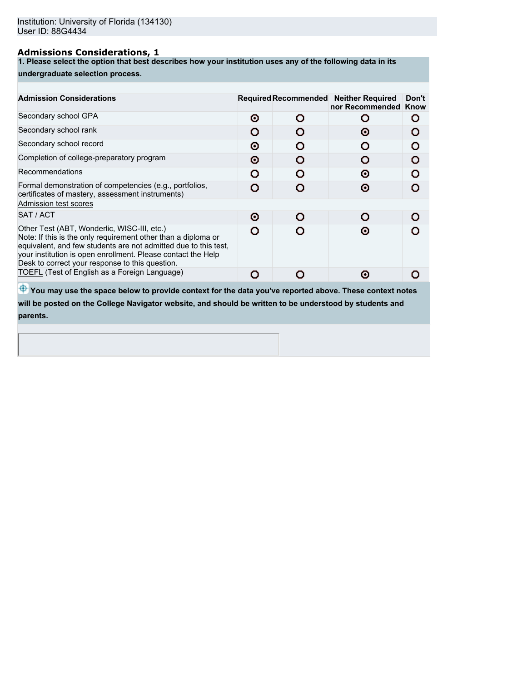# **Admissions Considerations, 1**

**1. Please select the option that best describes how your institution uses any of the following data in its**

### **undergraduate selection process.**

| Secondary school GPA<br>Secondary school rank<br>Secondary school record<br>Completion of college-preparatory program<br>Recommendations                                                                                                                                                           |   | Required Recommended<br><b>Neither Required</b><br>nor Recommended Know | Don't |
|----------------------------------------------------------------------------------------------------------------------------------------------------------------------------------------------------------------------------------------------------------------------------------------------------|---|-------------------------------------------------------------------------|-------|
|                                                                                                                                                                                                                                                                                                    | Θ |                                                                         | О     |
|                                                                                                                                                                                                                                                                                                    |   | Θ                                                                       | O     |
|                                                                                                                                                                                                                                                                                                    | ⊙ |                                                                         | n     |
|                                                                                                                                                                                                                                                                                                    | Θ |                                                                         | O     |
|                                                                                                                                                                                                                                                                                                    |   | o                                                                       | n     |
| Formal demonstration of competencies (e.g., portfolios,<br>certificates of mastery, assessment instruments)                                                                                                                                                                                        |   | ⊙                                                                       |       |
| Admission test scores                                                                                                                                                                                                                                                                              |   |                                                                         |       |
| SAT / ACT<br>ര                                                                                                                                                                                                                                                                                     |   |                                                                         |       |
| Other Test (ABT, Wonderlic, WISC-III, etc.)<br>Note: If this is the only requirement other than a diploma or<br>equivalent, and few students are not admitted due to this test,<br>your institution is open enrollment. Please contact the Help<br>Desk to correct your response to this question. |   | o                                                                       |       |
| TOEFL (Test of English as a Foreign Language)                                                                                                                                                                                                                                                      |   |                                                                         |       |

 $\bigoplus$  **You may use the space below to provide context for the data you've reported above. These context notes** 

**will be posted on the College Navigator website, and should be written to be understood by students and parents.**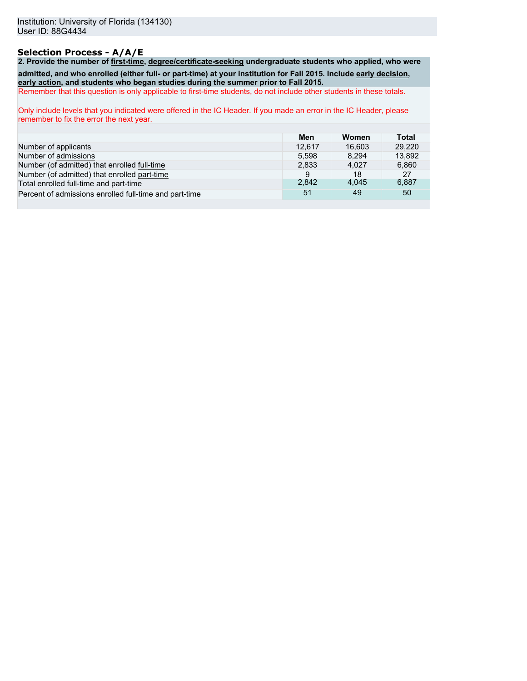# **Selection Process - A/A/E**

**2. Provide the number of first-time, degree/certificate-seeking undergraduate students who applied, who were admitted, and who enrolled (either full- or part-time) at your institution for Fall 2015. Include early decision, early action, and students who began studies during the summer prior to Fall 2015.**

Remember that this question is only applicable to first-time students, do not include other students in these totals.

Only include levels that you indicated were offered in the IC Header. If you made an error in the IC Header, please remember to fix the error the next year.

|                                                        | Men    | Women  | Total  |
|--------------------------------------------------------|--------|--------|--------|
| Number of applicants                                   | 12.617 | 16.603 | 29.220 |
| Number of admissions                                   | 5.598  | 8.294  | 13.892 |
| Number (of admitted) that enrolled full-time           | 2.833  | 4.027  | 6,860  |
| Number (of admitted) that enrolled part-time           | 9      | 18     | 27     |
| Total enrolled full-time and part-time                 | 2.842  | 4.045  | 6,887  |
| Percent of admissions enrolled full-time and part-time | 51     | 49     | 50     |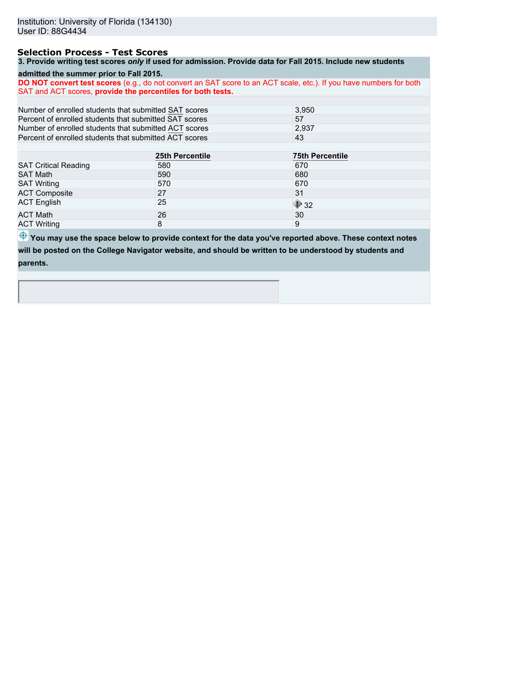## **Selection Process - Test Scores**

| 3. Provide writing test scores only if used for admission. Provide data for Fall 2015. Include new students |  |  |  |
|-------------------------------------------------------------------------------------------------------------|--|--|--|
|-------------------------------------------------------------------------------------------------------------|--|--|--|

**admitted the summer prior to Fall 2015.**

**DO NOT convert test scores** (e.g., do not convert an SAT score to an ACT scale, etc.). If you have numbers for both SAT and ACT scores, **provide the percentiles for both tests.**

| Number of enrolled students that submitted SAT scores  | 3,950           |                          |
|--------------------------------------------------------|-----------------|--------------------------|
| Percent of enrolled students that submitted SAT scores | 57              |                          |
| Number of enrolled students that submitted ACT scores  |                 | 2,937                    |
| Percent of enrolled students that submitted ACT scores |                 | 43                       |
|                                                        |                 |                          |
|                                                        | 25th Percentile | <b>75th Percentile</b>   |
| <b>SAT Critical Reading</b>                            | 580             | 670                      |
| <b>SAT Math</b>                                        | 590             | 680                      |
| <b>SAT Writing</b>                                     | 570             | 670                      |
| <b>ACT Composite</b>                                   | 27              | 31                       |
| <b>ACT English</b>                                     | 25              | $\blacktriangleright$ 32 |
| <b>ACT Math</b>                                        | 26              | 30                       |
| <b>ACT Writing</b>                                     | 8               | 9                        |

 $\bigoplus$  **You may use the space below to provide context for the data you've reported above. These context notes** 

**will be posted on the College Navigator website, and should be written to be understood by students and parents.**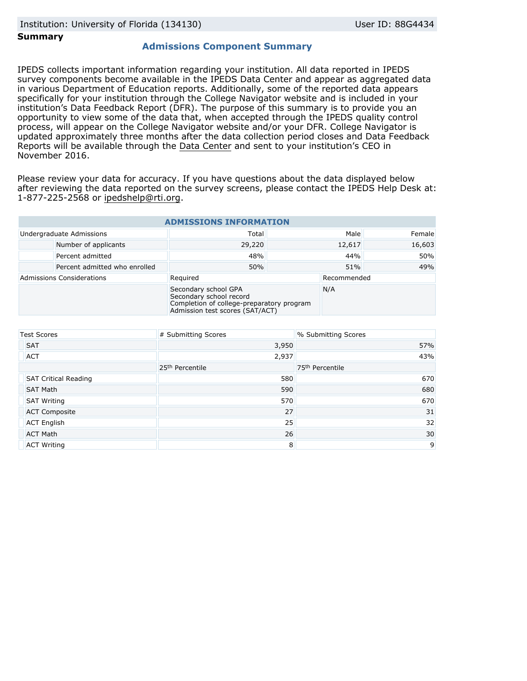## **Summary**

# **Admissions Component Summary**

IPEDS collects important information regarding your institution. All data reported in IPEDS survey components become available in the IPEDS Data Center and appear as aggregated data in various Department of Education reports. Additionally, some of the reported data appears specifically for your institution through the College Navigator website and is included in your institution's Data Feedback Report (DFR). The purpose of this summary is to provide you an opportunity to view some of the data that, when accepted through the IPEDS quality control process, will appear on the College Navigator website and/or your DFR. College Navigator is updated approximately three months after the data collection period closes and Data Feedback Reports will be available through the [Data Center](http://nces.ed.gov/ipeds/datacenter/) and sent to your institution's CEO in November 2016.

Please review your data for accuracy. If you have questions about the data displayed below after reviewing the data reported on the survey screens, please contact the IPEDS Help Desk at: 1-877-225-2568 or ipedshelp@rti.org.

| <b>ADMISSIONS INFORMATION</b>                                                                                                   |                               |          |        |             |        |  |
|---------------------------------------------------------------------------------------------------------------------------------|-------------------------------|----------|--------|-------------|--------|--|
| Undergraduate Admissions                                                                                                        |                               | Total    | Male   |             | Female |  |
|                                                                                                                                 | Number of applicants          | 29,220   | 12,617 |             | 16,603 |  |
|                                                                                                                                 | Percent admitted              | 48%      | 44%    |             | 50%    |  |
|                                                                                                                                 | Percent admitted who enrolled | 50%      | 51%    |             | 49%    |  |
| <b>Admissions Considerations</b>                                                                                                |                               | Required |        | Recommended |        |  |
| Secondary school GPA<br>Secondary school record<br>Completion of college-preparatory program<br>Admission test scores (SAT/ACT) |                               | N/A      |        |             |        |  |

| <b>Test Scores</b>          | # Submitting Scores         | % Submitting Scores         |
|-----------------------------|-----------------------------|-----------------------------|
| <b>SAT</b>                  | 3,950                       | 57%                         |
| <b>ACT</b>                  | 2,937                       | 43%                         |
|                             | 25 <sup>th</sup> Percentile | 75 <sup>th</sup> Percentile |
| <b>SAT Critical Reading</b> | 580                         | 670                         |
| <b>SAT Math</b>             | 590                         | 680                         |
| <b>SAT Writing</b>          | 570                         | 670                         |
| <b>ACT Composite</b>        | 27                          | 31                          |
| <b>ACT English</b>          | 25                          | 32                          |
| <b>ACT Math</b>             | 26                          | 30                          |
| <b>ACT Writing</b>          | 8                           | 9                           |